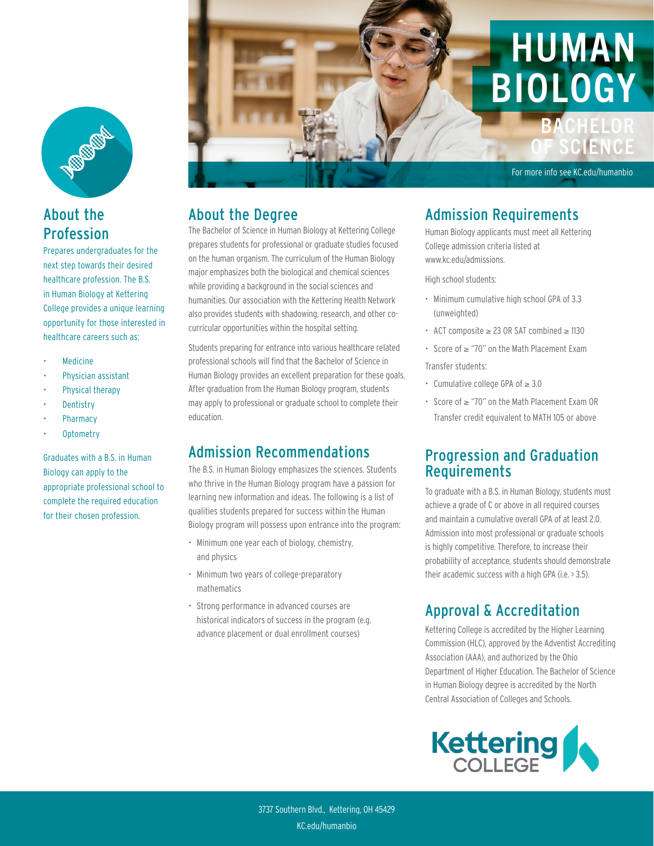

### About the Profession

Prepares undergraduates for the next step towards their desired healthcare profession. The B.S. in Human Biology at Kettering College provides a unique learning opportunity for those interested in healthcare careers such as:

- **Medicine**
- Physician assistant
- Physical therapy
- **Dentistry**
- **Pharmacy**
- Optometry

Graduates with a B.S. in Human Biology can apply to the appropriate professional school to complete the required education for their chosen profession.



#### About the Degree

The Bachelor of Science in Human Biology at Kettering College prepares students for professional or graduate studies focused on the human organism. The curriculum of the Human Biology major emphasizes both the biological and chemical sciences while providing a background in the social sciences and humanities. Our association with the Kettering Health Network also provides students with shadowing, research, and other cocurricular opportunities within the hospital setting.

Students preparing for entrance into various healthcare related professional schools will find that the Bachelor of Science in Human Biology provides an excellent preparation for these goals. After graduation from the Human Biology program, students may apply to professional or graduate school to complete their education.

#### Admission Recommendations

The B.S. in Human Biology emphasizes the sciences. Students who thrive in the Human Biology program have a passion for learning new information and ideas. The following is a list of qualities students prepared for success within the Human Biology program will possess upon entrance into the program:

- Minimum one year each of biology, chemistry, and physics
- Minimum two years of college-preparatory mathematics
- Strong performance in advanced courses are historical indicators of success in the program (e.g. advance placement or dual enrollment courses)

#### Admission Requirements

Human Biology applicants must meet all Kettering College admission criteria listed at www.kc.edu/admissions.

High school students:

- Minimum cumulative high school GPA of 3.3 (unweighted)
- ACT composite ≥ 23 OR SAT combined ≥ 1130
- Score of ≥ "70" on the Math Placement Exam Transfer students:

- Cumulative college GPA of ≥ 3.0
- Score of ≥ "70" on the Math Placement Exam OR Transfer credit equivalent to MATH 105 or above

#### Progression and Graduation Requirements

To graduate with a B.S. in Human Biology, students must achieve a grade of C or above in all required courses and maintain a cumulative overall GPA of at least 2.0. Admission into most professional or graduate schools is highly competitive. Therefore, to increase their probability of acceptance, students should demonstrate their academic success with a high GPA (i.e. > 3.5).

## Approval & Accreditation

Kettering College is accredited by the Higher Learning Commission (HLC), approved by the Adventist Accrediting Association (AAA), and authorized by the Ohio Department of Higher Education. The Bachelor of Science in Human Biology degree is accredited by the North Central Association of Colleges and Schools.